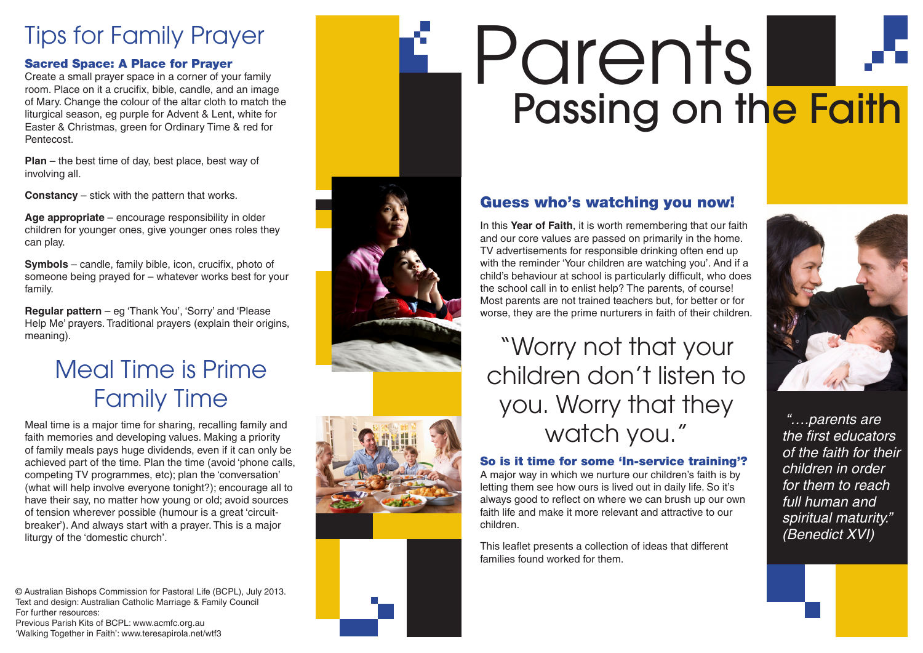# Tips for Family Prayer

### Sacred Space: A Place for Prayer

Create a small prayer space in a corner of your family room. Place on it a crucifix, bible, candle, and an image of Mary. Change the colour of the altar cloth to match the liturgical season, eg purple for Advent & Lent, white for Easter & Christmas, green for Ordinary Time & red for Pentecost.

**Plan** – the best time of day, best place, best way of involving all.

**Constancy** – stick with the pattern that works.

**Age appropriate** – encourage responsibility in older children for younger ones, give younger ones roles they can play.

**Symbols** – candle, family bible, icon, crucifix, photo of someone being prayed for – whatever works best for your family.

**Regular pattern** – eg 'Thank You', 'Sorry' and 'Please Help Me' prayers. Traditional prayers (explain their origins, meaning).

### Meal Time is Prime Family Time

Meal time is a major time for sharing, recalling family and faith memories and developing values. Making a priority of family meals pays huge dividends, even if it can only be achieved part of the time. Plan the time (avoid 'phone calls, competing TV programmes, etc); plan the 'conversation' (what will help involve everyone tonight?); encourage all to have their say, no matter how young or old; avoid sources of tension wherever possible (humour is a great 'circuitbreaker'). And always start with a prayer. This is a major liturgy of the 'domestic church'.

© Australian Bishops Commission for Pastoral Life (BCPL), July 2013. Text and design: Australian Catholic Marriage & Family Council For further resources: Previous Parish Kits of BCPL: www.acmfc.org.au 'Walking Together in Faith': www.teresapirola.net/wtf3

# Parents Passing on the Faith

### Guess who's watching you now!

In this **Year of Faith**, it is worth remembering that our faith and our core values are passed on primarily in the home. TV advertisements for responsible drinking often end up with the reminder 'Your children are watching you'. And if a child's behaviour at school is particularly difficult, who does the school call in to enlist help? The parents, of course! Most parents are not trained teachers but, for better or for worse, they are the prime nurturers in faith of their children.

"Worry not that your children don't listen to you. Worry that they watch you."

### So is it time for some 'In-service training'?

A major way in which we nurture our children's faith is by letting them see how ours is lived out in daily life. So it's always good to reflect on where we can brush up our own faith life and make it more relevant and attractive to our children.

This leaflet presents a collection of ideas that different families found worked for them.



 *"….parents are*  the first educators of the faith for their children in order for them to reach full human and spiritual maturity." (Benedict XVI)